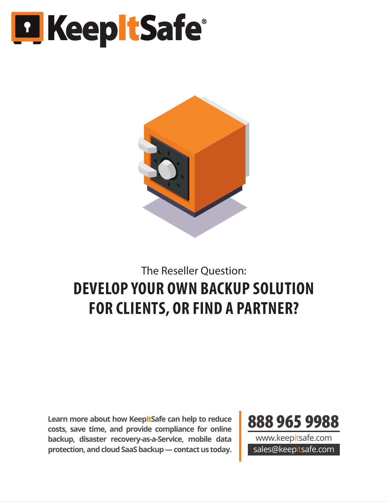# **El Keep tSafe**



# The Reseller Question: **DEVELOP YOUR OWN BACKUP SOLUTION FOR CLIENTS, OR FIND A PARTNER?**

**Learn more about how KeepItSafe can help to reduce costs, save time, and provide compliance for online backup, disaster recovery-as-a-Service, mobile data protection, and cloud SaaS backup — contact us today.**



www.keepitsafe.com sales@keepitsafe.com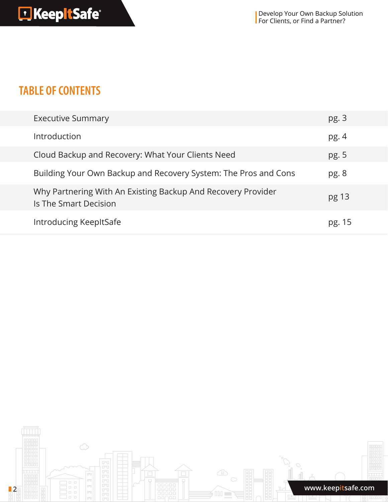### **TABLE OF CONTENTS**

| <b>Executive Summary</b>                                                              | pg.3   |
|---------------------------------------------------------------------------------------|--------|
| Introduction                                                                          | pg. 4  |
| Cloud Backup and Recovery: What Your Clients Need                                     | pg. 5  |
| Building Your Own Backup and Recovery System: The Pros and Cons                       | pg.8   |
| Why Partnering With An Existing Backup And Recovery Provider<br>Is The Smart Decision | pg 13  |
| <b>Introducing KeepItSafe</b>                                                         | pg. 15 |

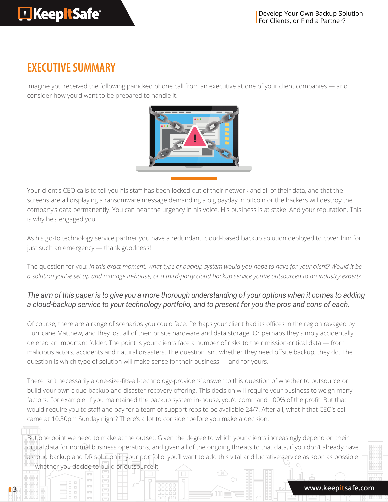## **EXECUTIVE SUMMARY**

Imagine you received the following panicked phone call from an executive at one of your client companies — and consider how you'd want to be prepared to handle it.



Your client's CEO calls to tell you his staff has been locked out of their network and all of their data, and that the screens are all displaying a ransomware message demanding a big payday in bitcoin or the hackers will destroy the company's data permanently. You can hear the urgency in his voice. His business is at stake. And your reputation. This is why he's engaged you.

As his go-to technology service partner you have a redundant, cloud-based backup solution deployed to cover him for just such an emergency — thank goodness!

The question for you: *In this exact moment, what type of backup system would you hope to have for your client? Would it be a solution you've set up and manage in-house, or a third-party cloud backup service you've outsourced to an industry expert?*

### *The aim of this paper is to give you a more thorough understanding of your options when it comes to adding a cloud-backup service to your technology portfolio, and to present for you the pros and cons of each.*

Of course, there are a range of scenarios you could face. Perhaps your client had its offices in the region ravaged by Hurricane Matthew, and they lost all of their onsite hardware and data storage. Or perhaps they simply accidentally deleted an important folder. The point is your clients face a number of risks to their mission-critical data — from malicious actors, accidents and natural disasters. The question isn't whether they need offsite backup; they do. The question is which type of solution will make sense for their business — and for yours.

There isn't necessarily a one-size-fits-all-technology-providers' answer to this question of whether to outsource or build your own cloud backup and disaster recovery offering. This decision will require your business to weigh many factors. For example: If you maintained the backup system in-house, you'd command 100% of the profit. But that would require you to staff and pay for a team of support reps to be available 24/7. After all, what if that CEO's call came at 10:30pm Sunday night? There's a lot to consider before you make a decision.

But one point we need to make at the outset: Given the degree to which your clients increasingly depend on their digital data for normal business operations, and given all of the ongoing threats to that data, if you don't already have a cloud backup and DR solution in your portfolio, you'll want to add this vital and lucrative service as soon as possible **Whether you decide to build or outsource it.**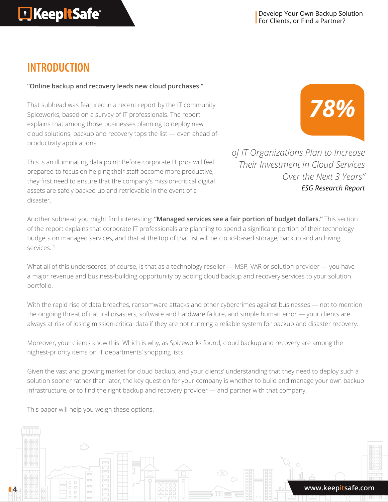Develop Your Own Backup Solution For Clients, or Find a Partner?

### **INTRODUCTION**

### **"Online backup and recovery leads new cloud purchases."**

That subhead was featured in a recent report by the IT community Spiceworks, based on a survey of IT professionals. The report explains that among those businesses planning to deploy new cloud solutions, backup and recovery tops the list — even ahead of productivity applications.

This is an illuminating data point: Before corporate IT pros will feel prepared to focus on helping their staff become more productive, they first need to ensure that the company's mission-critical digital assets are safely backed up and retrievable in the event of a disaster.



*of IT Organizations Plan to Increase Their Investment in Cloud Services Over the Next 3 Years" ESG Research Report*

Another subhead you might find interesting: **"Managed services see a fair portion of budget dollars."** This section of the report explains that corporate IT professionals are planning to spend a significant portion of their technology budgets on managed services, and that at the top of that list will be cloud-based storage, backup and archiving services.<sup>1</sup>

What all of this underscores, of course, is that as a technology reseller - MSP, VAR or solution provider - you have a major revenue and business-building opportunity by adding cloud backup and recovery services to your solution portfolio.

With the rapid rise of data breaches, ransomware attacks and other cybercrimes against businesses — not to mention the ongoing threat of natural disasters, software and hardware failure, and simple human error — your clients are always at risk of losing mission-critical data if they are not running a reliable system for backup and disaster recovery.

Moreover, your clients know this. Which is why, as Spiceworks found, cloud backup and recovery are among the highest-priority items on IT departments' shopping lists.

Given the vast and growing market for cloud backup, and your clients' understanding that they need to deploy such a solution sooner rather than later, the key question for your company is whether to build and manage your own backup infrastructure, or to find the right backup and recovery provider — and partner with that company.

This paper will help you weigh these options.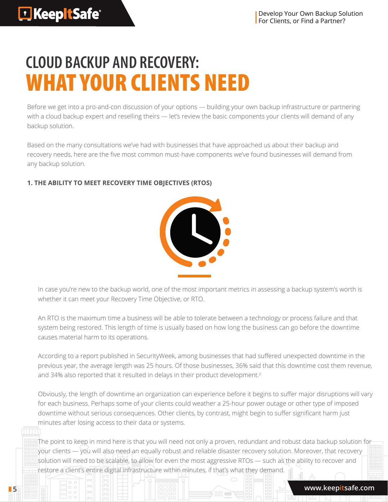# **CLOUD BACKUP AND RECOVERY:**  WHAT YOUR CLIENTS NEED

Before we get into a pro-and-con discussion of your options — building your own backup infrastructure or partnering with a cloud backup expert and reselling theirs — let's review the basic components your clients will demand of any backup solution.

Based on the many consultations we've had with businesses that have approached us about their backup and recovery needs, here are the five most common must-have components we've found businesses will demand from any backup solution.

### **1. THE ABILITY TO MEET RECOVERY TIME OBJECTIVES (RTOS)**



In case you're new to the backup world, one of the most important metrics in assessing a backup system's worth is whether it can meet your Recovery Time Objective, or RTO.

An RTO is the maximum time a business will be able to tolerate between a technology or process failure and that system being restored. This length of time is usually based on how long the business can go before the downtime causes material harm to its operations.

According to a report published in SecurityWeek, among businesses that had suffered unexpected downtime in the previous year, the average length was 25 hours. Of those businesses, 36% said that this downtime cost them revenue, and 34% also reported that it resulted in delays in their product development.<sup>2</sup>

Obviously, the length of downtime an organization can experience before it begins to suffer major disruptions will vary for each business. Perhaps some of your clients could weather a 25-hour power outage or other type of imposed downtime without serious consequences. Other clients, by contrast, might begin to suffer significant harm just minutes after losing access to their data or systems.

The point to keep in mind here is that you will need not only a proven, redundant and robust data backup solution for your clients — you will also need an equally robust and reliable disaster recovery solution. Moreover, that recovery solution will need to be scalable, to allow for even the most aggressive RTOs — such as the ability to recover and restore a client's entire digital infrastructure within minutes, if that's what they demand.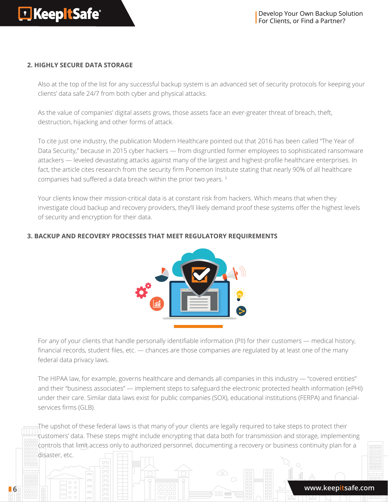#### **2. HIGHLY SECURE DATA STORAGE**

Also at the top of the list for any successful backup system is an advanced set of security protocols for keeping your clients' data safe 24/7 from both cyber and physical attacks.

As the value of companies' digital assets grows, those assets face an ever-greater threat of breach, theft, destruction, hijacking and other forms of attack.

To cite just one industry, the publication Modern Healthcare pointed out that 2016 has been called "The Year of Data Security," because in 2015 cyber hackers — from disgruntled former employees to sophisticated ransomware attackers — leveled devastating attacks against many of the largest and highest-profile healthcare enterprises. In fact, the article cites research from the security firm Ponemon Institute stating that nearly 90% of all healthcare companies had suffered a data breach within the prior two years. 3

Your clients know their mission-critical data is at constant risk from hackers. Which means that when they investigate cloud backup and recovery providers, they'll likely demand proof these systems offer the highest levels of security and encryption for their data.

### **3. BACKUP AND RECOVERY PROCESSES THAT MEET REGULATORY REQUIREMENTS**



For any of your clients that handle personally identifiable information (PII) for their customers — medical history, financial records, student files, etc. — chances are those companies are regulated by at least one of the many federal data privacy laws.

The HIPAA law, for example, governs healthcare and demands all companies in this industry — "covered entities" and their "business associates" — implement steps to safeguard the electronic protected health information (ePHI) under their care. Similar data laws exist for public companies (SOX), educational institutions (FERPA) and financialservices firms (GLB).

The upshot of these federal laws is that many of your clients are legally required to take steps to protect their customers' data. These steps might include encrypting that data both for transmission and storage, implementing controls that limit access only to authorized personnel, documenting a recovery or business continuity plan for a disaster, etc.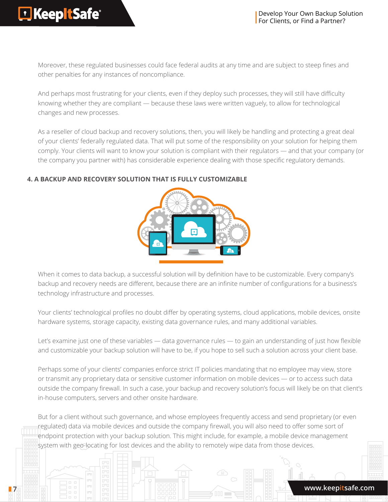Moreover, these regulated businesses could face federal audits at any time and are subject to steep fines and other penalties for any instances of noncompliance.

And perhaps most frustrating for your clients, even if they deploy such processes, they will still have difficulty knowing whether they are compliant — because these laws were written vaguely, to allow for technological changes and new processes.

As a reseller of cloud backup and recovery solutions, then, you will likely be handling and protecting a great deal of your clients' federally regulated data. That will put some of the responsibility on your solution for helping them comply. Your clients will want to know your solution is compliant with their regulators — and that your company (or the company you partner with) has considerable experience dealing with those specific regulatory demands.

### **4. A BACKUP AND RECOVERY SOLUTION THAT IS FULLY CUSTOMIZABLE**



When it comes to data backup, a successful solution will by definition have to be customizable. Every company's backup and recovery needs are different, because there are an infinite number of configurations for a business's technology infrastructure and processes.

Your clients' technological profiles no doubt differ by operating systems, cloud applications, mobile devices, onsite hardware systems, storage capacity, existing data governance rules, and many additional variables.

Let's examine just one of these variables — data governance rules — to gain an understanding of just how flexible and customizable your backup solution will have to be, if you hope to sell such a solution across your client base.

Perhaps some of your clients' companies enforce strict IT policies mandating that no employee may view, store or transmit any proprietary data or sensitive customer information on mobile devices — or to access such data outside the company firewall. In such a case, your backup and recovery solution's focus will likely be on that client's in-house computers, servers and other onsite hardware.

But for a client without such governance, and whose employees frequently access and send proprietary (or even regulated) data via mobile devices and outside the company firewall, you will also need to offer some sort of endpoint protection with your backup solution. This might include, for example, a mobile device management system with geo-locating for lost devices and the ability to remotely wipe data from those devices.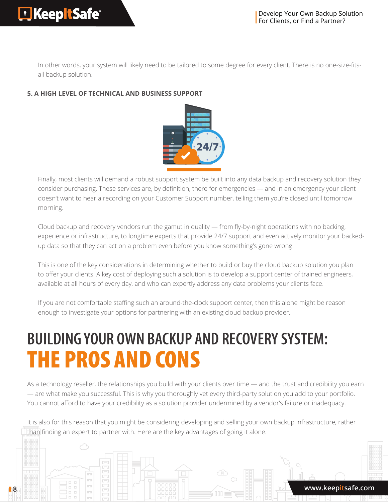In other words, your system will likely need to be tailored to some degree for every client. There is no one-size-fitsall backup solution.

### **5. A HIGH LEVEL OF TECHNICAL AND BUSINESS SUPPORT**



Finally, most clients will demand a robust support system be built into any data backup and recovery solution they consider purchasing. These services are, by definition, there for emergencies — and in an emergency your client doesn't want to hear a recording on your Customer Support number, telling them you're closed until tomorrow morning.

Cloud backup and recovery vendors run the gamut in quality — from fly-by-night operations with no backing, experience or infrastructure, to longtime experts that provide 24/7 support and even actively monitor your backedup data so that they can act on a problem even before you know something's gone wrong.

This is one of the key considerations in determining whether to build or buy the cloud backup solution you plan to offer your clients. A key cost of deploying such a solution is to develop a support center of trained engineers, available at all hours of every day, and who can expertly address any data problems your clients face.

If you are not comfortable staffing such an around-the-clock support center, then this alone might be reason enough to investigate your options for partnering with an existing cloud backup provider.

# **BUILDING YOUR OWN BACKUP AND RECOVERY SYSTEM:**  THE PROS AND CONS

As a technology reseller, the relationships you build with your clients over time — and the trust and credibility you earn — are what make you successful. This is why you thoroughly vet every third-party solution you add to your portfolio. You cannot afford to have your credibility as a solution provider undermined by a vendor's failure or inadequacy.

It is also for this reason that you might be considering developing and selling your own backup infrastructure, rather than finding an expert to partner with. Here are the key advantages of going it alone.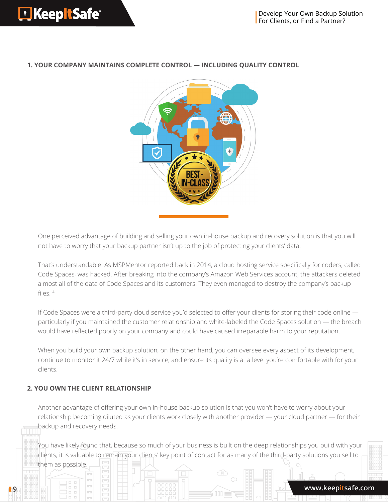#### **1. YOUR COMPANY MAINTAINS COMPLETE CONTROL — INCLUDING QUALITY CONTROL**



One perceived advantage of building and selling your own in-house backup and recovery solution is that you will not have to worry that your backup partner isn't up to the job of protecting your clients' data.

That's understandable. As MSPMentor reported back in 2014, a cloud hosting service specifically for coders, called Code Spaces, was hacked. After breaking into the company's Amazon Web Services account, the attackers deleted almost all of the data of Code Spaces and its customers. They even managed to destroy the company's backup files.  $4$ 

If Code Spaces were a third-party cloud service you'd selected to offer your clients for storing their code online particularly if you maintained the customer relationship and white-labeled the Code Spaces solution — the breach would have reflected poorly on your company and could have caused irreparable harm to your reputation.

When you build your own backup solution, on the other hand, you can oversee every aspect of its development, continue to monitor it 24/7 while it's in service, and ensure its quality is at a level you're comfortable with for your clients.

### **2. YOU OWN THE CLIENT RELATIONSHIP**

them as possible.

Another advantage of offering your own in-house backup solution is that you won't have to worry about your relationship becoming diluted as your clients work closely with another provider — your cloud partner — for their backup and recovery needs.

You have likely found that, because so much of your business is built on the deep relationships you build with your clients, it is valuable to remain your clients' key point of contact for as many of the third-party solutions you sell to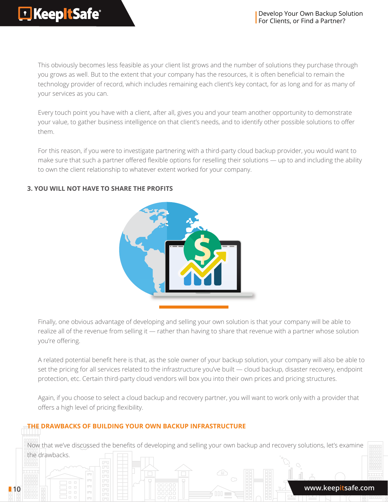This obviously becomes less feasible as your client list grows and the number of solutions they purchase through you grows as well. But to the extent that your company has the resources, it is often beneficial to remain the technology provider of record, which includes remaining each client's key contact, for as long and for as many of your services as you can.

Every touch point you have with a client, after all, gives you and your team another opportunity to demonstrate your value, to gather business intelligence on that client's needs, and to identify other possible solutions to offer them.

For this reason, if you were to investigate partnering with a third-party cloud backup provider, you would want to make sure that such a partner offered flexible options for reselling their solutions — up to and including the ability to own the client relationship to whatever extent worked for your company.

### **3. YOU WILL NOT HAVE TO SHARE THE PROFITS**



Finally, one obvious advantage of developing and selling your own solution is that your company will be able to realize all of the revenue from selling it — rather than having to share that revenue with a partner whose solution you're offering.

A related potential benefit here is that, as the sole owner of your backup solution, your company will also be able to set the pricing for all services related to the infrastructure you've built - cloud backup, disaster recovery, endpoint protection, etc. Certain third-party cloud vendors will box you into their own prices and pricing structures.

Again, if you choose to select a cloud backup and recovery partner, you will want to work only with a provider that offers a high level of pricing flexibility.

### **THE DRAWBACKS OF BUILDING YOUR OWN BACKUP INFRASTRUCTURE**

Now that we've discussed the benefits of developing and selling your own backup and recovery solutions, let's examine the drawbacks.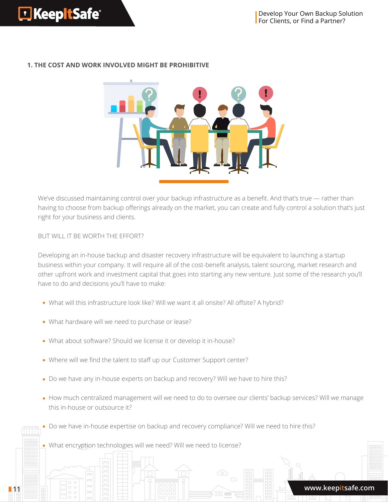

### **1. THE COST AND WORK INVOLVED MIGHT BE PROHIBITIVE**

We've discussed maintaining control over your backup infrastructure as a benefit. And that's true — rather than having to choose from backup offerings already on the market, you can create and fully control a solution that's just right for your business and clients.

BUT WILL IT BE WORTH THE EFFORT?

Developing an in-house backup and disaster recovery infrastructure will be equivalent to launching a startup business within your company. It will require all of the cost-benefit analysis, talent sourcing, market research and other upfront work and investment capital that goes into starting any new venture. Just some of the research you'll have to do and decisions you'll have to make:

- What will this infrastructure look like? Will we want it all onsite? All offsite? A hybrid?
- What hardware will we need to purchase or lease?
- What about software? Should we license it or develop it in-house?
- Where will we find the talent to staff up our Customer Support center?
- Do we have any in-house experts on backup and recovery? Will we have to hire this?
- How much centralized management will we need to do to oversee our clients' backup services? Will we manage this in-house or outsource it?
- Do we have in-house expertise on backup and recovery compliance? Will we need to hire this?
- . What encryption technologies will we need? Will we need to license?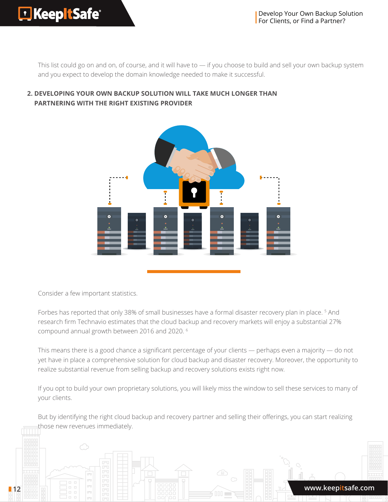This list could go on and on, of course, and it will have to — if you choose to build and sell your own backup system and you expect to develop the domain knowledge needed to make it successful.



### **2. DEVELOPING YOUR OWN BACKUP SOLUTION WILL TAKE MUCH LONGER THAN PARTNERING WITH THE RIGHT EXISTING PROVIDER**

Consider a few important statistics.

Forbes has reported that only 38% of small businesses have a formal disaster recovery plan in place. <sup>5</sup> And research firm Technavio estimates that the cloud backup and recovery markets will enjoy a substantial 27% compound annual growth between 2016 and 2020. 6

This means there is a good chance a significant percentage of your clients — perhaps even a majority — do not yet have in place a comprehensive solution for cloud backup and disaster recovery. Moreover, the opportunity to realize substantial revenue from selling backup and recovery solutions exists right now.

If you opt to build your own proprietary solutions, you will likely miss the window to sell these services to many of your clients.

But by identifying the right cloud backup and recovery partner and selling their offerings, you can start realizing those new revenues immediately.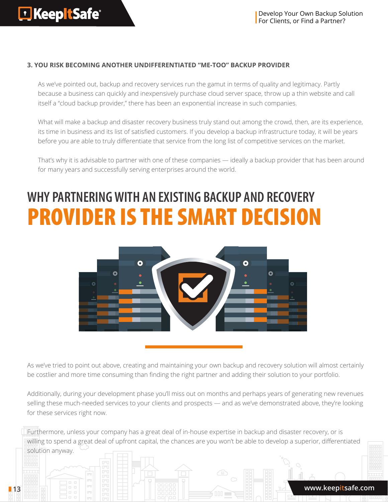### **3. YOU RISK BECOMING ANOTHER UNDIFFERENTIATED "ME-TOO" BACKUP PROVIDER**

As we've pointed out, backup and recovery services run the gamut in terms of quality and legitimacy. Partly because a business can quickly and inexpensively purchase cloud server space, throw up a thin website and call itself a "cloud backup provider," there has been an exponential increase in such companies.

What will make a backup and disaster recovery business truly stand out among the crowd, then, are its experience, its time in business and its list of satisfied customers. If you develop a backup infrastructure today, it will be years before you are able to truly differentiate that service from the long list of competitive services on the market.

That's why it is advisable to partner with one of these companies — ideally a backup provider that has been around for many years and successfully serving enterprises around the world.

# **WHY PARTNERING WITH AN EXISTING BACKUP AND RECOVERY**  PROVIDER IS THE SMART DECISION



As we've tried to point out above, creating and maintaining your own backup and recovery solution will almost certainly be costlier and more time consuming than finding the right partner and adding their solution to your portfolio.

Additionally, during your development phase you'll miss out on months and perhaps years of generating new revenues selling these much-needed services to your clients and prospects — and as we've demonstrated above, they're looking for these services right now.

Furthermore, unless your company has a great deal of in-house expertise in backup and disaster recovery, or is willing to spend a great deal of upfront capital, the chances are you won't be able to develop a superior, differentiated solution anyway.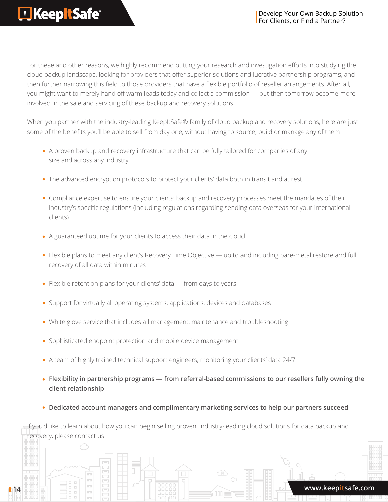For these and other reasons, we highly recommend putting your research and investigation efforts into studying the cloud backup landscape, looking for providers that offer superior solutions and lucrative partnership programs, and then further narrowing this field to those providers that have a flexible portfolio of reseller arrangements. After all, you might want to merely hand off warm leads today and collect a commission — but then tomorrow become more involved in the sale and servicing of these backup and recovery solutions.

When you partner with the industry-leading KeepItSafe® family of cloud backup and recovery solutions, here are just some of the benefits you'll be able to sell from day one, without having to source, build or manage any of them:

- A proven backup and recovery infrastructure that can be fully tailored for companies of any size and across any industry
- The advanced encryption protocols to protect your clients' data both in transit and at rest
- Compliance expertise to ensure your clients' backup and recovery processes meet the mandates of their industry's specific regulations (including regulations regarding sending data overseas for your international clients)
- A guaranteed uptime for your clients to access their data in the cloud
- Flexible plans to meet any client's Recovery Time Objective up to and including bare-metal restore and full recovery of all data within minutes
- $\bullet$  Flexible retention plans for your clients' data  $-$  from days to years
- Support for virtually all operating systems, applications, devices and databases
- White glove service that includes all management, maintenance and troubleshooting
- Sophisticated endpoint protection and mobile device management
- A team of highly trained technical support engineers, monitoring your clients' data 24/7
- **Flexibility in partnership programs from referral-based commissions to our resellers fully owning the client relationship**
- **Dedicated account managers and complimentary marketing services to help our partners succeed**

If you'd like to learn about how you can begin selling proven, industry-leading cloud solutions for data backup and recovery, please contact us.